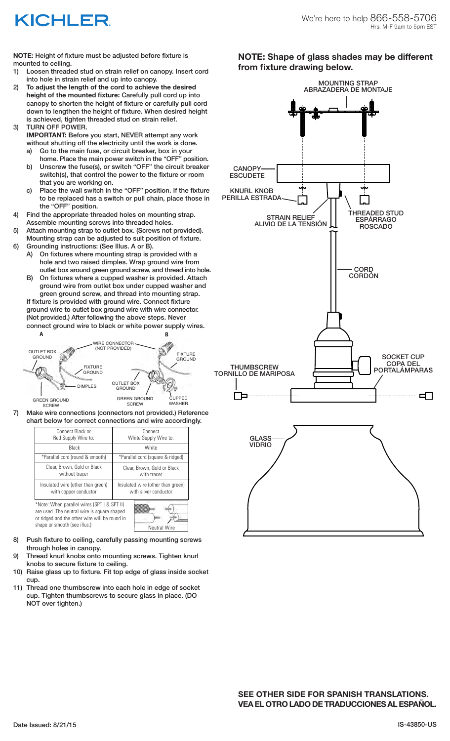## KICHLER

**NOTE:** Height of fixture must be adjusted before fixture is mounted to ceiling.

- 1) Loosen threaded stud on strain relief on canopy. Insert cord into hole in strain relief and up into canopy.
- 2) **To adjust the length of the cord to achieve the desired height of the mounted fixture:** Carefully pull cord up into canopy to shorten the height of fixture or carefully pull cord down to lengthen the height of fixture. When desired height is achieved, tighten threaded stud on strain relief. 3) TURN OFF POWER.
	- **IMPORTANT:** Before you start, NEVER attempt any work without shutting off the electricity until the work is done.
		- a) Go to the main fuse, or circuit breaker, box in your home. Place the main power switch in the "OFF" position.
		- b) Unscrew the fuse(s), or switch "OFF" the circuit breaker switch(s), that control the power to the fixture or room that you are working on.
		- c) Place the wall switch in the "OFF" position. If the fixture to be replaced has a switch or pull chain, place those in the "OFF" position.
- 4) Find the appropriate threaded holes on mounting strap. Assemble mounting screws into threaded holes.
- 5) Attach mounting strap to outlet box. (Screws not provided). Mounting strap can be adjusted to suit position of fixture.
- 6) Grounding instructions: (See Illus. A or B). A) On fixtures where mounting strap is provided with a hole and two raised dimples. Wrap ground wire from
	- outlet box around green ground screw, and thread into hole. B) On fixtures where a cupped washer is provided. Attach ground wire from outlet box under cupped washer and
	- green ground screw, and thread into mounting strap. If fixture is provided with ground wire. Connect fixture ground wire to outlet box ground wire with wire connector. (Not provided.) After following the above steps. Never
	- connect ground wire to black or white power supply wires. GREEN GROUND CUPPED WASHER **A B** OUTLET BOX GROUND FIXTURE GROUND DIMPLES WIRE CONNECTOR (NOT PROVIDED) OUTLET BOX GROUND GREEN GROUND **SCREW** FIXTURE **GROUND**
	- **SCREW**
- 7) Make wire connections (connectors not provided.) Reference chart below for correct connections and wire accordingly.

| Connect Black or<br>Red Supply Wire to:                                                                                                     | Connect<br>White Supply Wire to:                           |  |
|---------------------------------------------------------------------------------------------------------------------------------------------|------------------------------------------------------------|--|
| Black                                                                                                                                       | White                                                      |  |
| *Parallel cord (round & smooth)                                                                                                             | *Parallel cord (square & ridged)                           |  |
| Clear, Brown, Gold or Black<br>without tracer                                                                                               | Clear, Brown, Gold or Black<br>with tracer                 |  |
| Insulated wire (other than green)<br>with copper conductor                                                                                  | Insulated wire (other than green)<br>with silver conductor |  |
| *Note: When parallel wires (SPT I & SPT II)<br>are used. The neutral wire is square shaped<br>or ridged and the other wire will be round in |                                                            |  |

8) Push fixture to ceiling, carefully passing mounting screws through holes in canopy.

shape or smooth (see illus.) Neutral Wire

- 9) Thread knurl knobs onto mounting screws. Tighten knurl knobs to secure fixture to ceiling.
- 10) Raise glass up to fixture. Fit top edge of glass inside socket cup.
- 11) Thread one thumbscrew into each hole in edge of socket cup. Tighten thumbscrews to secure glass in place. (DO NOT over tighten.)

**NOTE: Shape of glass shades may be different from fixture drawing below.**





**SEE OTHER SIDE FOR SPANISH TRANSLATIONS. VEA EL OTRO LADO DE TRADUCCIONES AL ESPAÑOL.**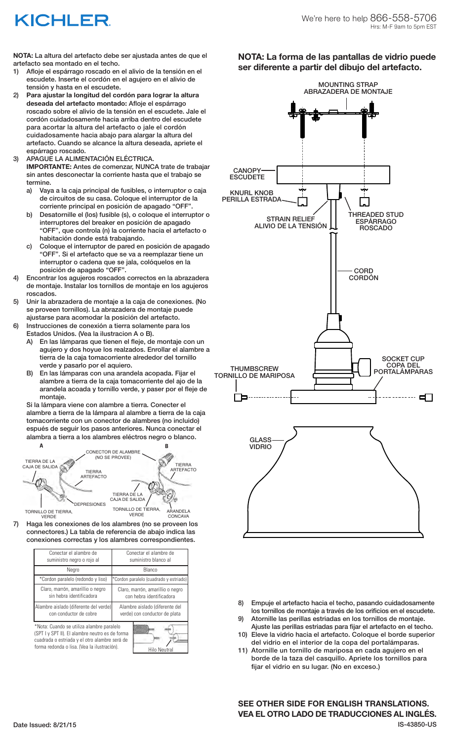# KICHLER

**NOTA:** La altura del artefacto debe ser ajustada antes de que el artefacto sea montado en el techo.

- 1) Afloje el espárrago roscado en el alivio de la tensión en el escudete. Inserte el cordón en el agujero en el alivio de tensión y hasta en el escudete.
- 2) **Para ajustar la longitud del cordón para lograr la altura deseada del artefacto montado:** Afloje el espárrago roscado sobre el alivio de la tensión en el escudete. Jale el cordón cuidadosamente hacia arriba dentro del escudete para acortar la altura del artefacto o jale el cordón cuidadosamente hacia abajo para alargar la altura del artefacto. Cuando se alcance la altura deseada, apriete el espárrago roscado.
- 3) APAGUE LA ALIMENTACIÓN ELÉCTRICA. **IMPORTANTE:** Antes de comenzar, NUNCA trate de trabajar sin antes desconectar la corriente hasta que el trabajo se termine.
	- a) Vaya a la caja principal de fusibles, o interruptor o caja de circuitos de su casa. Coloque el interruptor de la corriente principal en posición de apagado "OFF".
	- b) Desatornille el (los) fusible (s), o coloque el interruptor o interruptores del breaker en posición de apagado "OFF", que controla (n) la corriente hacia el artefacto o habitación donde está trabajando.
	- c) Coloque el interruptor de pared en posición de apagado "OFF". Si el artefacto que se va a reemplazar tiene un interruptor o cadena que se jala, colóquelos en la posición de apagado "OFF".
- 4) Encontrar los agujeros roscados correctos en la abrazadera de montaje. Instalar los tornillos de montaje en los agujeros roscados.
- 5) Unir la abrazadera de montaje a la caja de conexiones. (No se proveen tornillos). La abrazadera de montaje puede ajustarse para acomodar la posición del artefacto.
- 6) Instrucciones de conexión a tierra solamente para los Estados Unidos. (Vea la ilustracion A o B).
	- A) En las lámparas que tienen el fleje, de montaje con un agujero y dos hoyue los realzados. Enrollar el alambre a tierra de la caja tomacorriente alrededor del tornillo verde y pasarlo por el aquiero.
	- B) En las lámparas con una arandela acopada. Fijar el alambre a tierra de la caja tomacorriente del ajo de la arandela acoada y tornillo verde, y paser por el fleje de montaje.

Si la lámpara viene con alambre a tierra. Conecter el alambre a tierra de la lámpara al alambre a tierra de la caja tomacorriente con un conector de alambres (no incluido) espués de seguir los pasos anteriores. Nunca conectar el alambra a tierra a los alambres eléctros negro o blanco.



7) Haga les conexiones de los alambres (no se proveen los connectores.) La tabla de referencia de abajo indica las conexiones correctas y los alambres correspondientes.

| Conectar el alambre de<br>suministro negro o rojo al                                                                                                                                                         | Conectar el alambre de<br>suministro blanco al                  |
|--------------------------------------------------------------------------------------------------------------------------------------------------------------------------------------------------------------|-----------------------------------------------------------------|
| Negro                                                                                                                                                                                                        | Blanco                                                          |
| *Cordon paralelo (redondo y liso)                                                                                                                                                                            | *Cordon paralelo (cuadrado y estriado)                          |
| Claro, marrón, amarillio o negro<br>sin hebra identificadora                                                                                                                                                 | Claro, marrón, amarillio o negro<br>con hebra identificadora    |
| Alambre aislado (diferente del verde)<br>con conductor de cobre                                                                                                                                              | Alambre aislado (diferente del<br>verde) con conductor de plata |
| *Nota: Cuando se utiliza alambre paralelo<br>(SPT I y SPT II). El alambre neutro es de forma<br>cuadrada o estriada y el otro alambre será de<br>forma redonda o lisa. (Vea la ilustración).<br>Hilo Neutral |                                                                 |

### **NOTA: La forma de las pantallas de vidrio puede ser diferente a partir del dibujo del artefacto.**



- 8) Empuje el artefacto hacia el techo, pasando cuidadosamente los tornillos de montaje a través de los orificios en el escudete.
- 9) Atornille las perillas estriadas en los tornillos de montaje. Ajuste las perillas estriadas para fijar el artefacto en el techo.
- 10) Eleve la vidrio hacia el artefacto. Coloque el borde superior del vidrio en el interior de la copa del portalámparas.
- 11) Atornille un tornillo de mariposa en cada agujero en el borde de la taza del casquillo. Apriete los tornillos para fijar el vidrio en su lugar. (No en exceso.)

Date Issued: 8/21/15 IS-43850-US **SEE OTHER SIDE FOR ENGLISH TRANSLATIONS. VEA EL OTRO LADO DE TRADUCCIONES AL INGLÉS.**